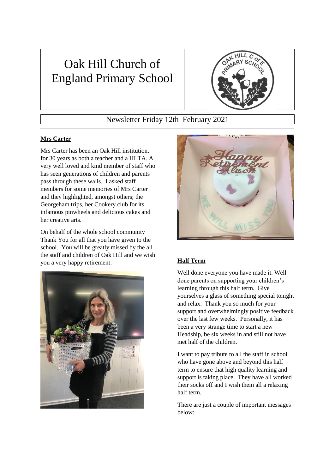# Oak Hill Church of England Primary School



## Newsletter Friday 12th February 2021

### **Mrs Carter**

Mrs Carter has been an Oak Hill institution, for 30 years as both a teacher and a HLTA. A very well loved and kind member of staff who has seen generations of children and parents pass through these walls. I asked staff members for some memories of Mrs Carter and they highlighted, amongst others; the Georgeham trips, her Cookery club for its infamous pinwheels and delicious cakes and her creative arts.

On behalf of the whole school community Thank You for all that you have given to the school. You will be greatly missed by the all the staff and children of Oak Hill and we wish you a very happy retirement. **Half Term**





Well done everyone you have made it. Well done parents on supporting your children's learning through this half term. Give yourselves a glass of something special tonight and relax. Thank you so much for your support and overwhelmingly positive feedback over the last few weeks. Personally, it has been a very strange time to start a new Headship, be six weeks in and still not have met half of the children.

I want to pay tribute to all the staff in school who have gone above and beyond this half term to ensure that high quality learning and support is taking place. They have all worked their socks off and I wish them all a relaxing half term.

There are just a couple of important messages below: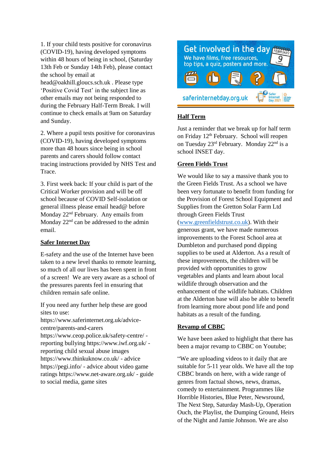1. If your child tests positive for coronavirus (COVID-19), having developed symptoms within 48 hours of being in school, (Saturday 13th Feb or Sunday 14th Feb), please contact the school by email at

head@oakhill.gloucs.sch.uk . Please type 'Positive Covid Test' in the subject line as other emails may not being responded to during the February Half-Term Break. I will continue to check emails at 9am on Saturday and Sunday.

2. Where a pupil tests positive for coronavirus (COVID-19), having developed symptoms more than 48 hours since being in school parents and carers should follow contact tracing instructions provided by NHS Test and Trace.

3. First week back: If your child is part of the Critical Worker provision and will be off school because of COVID Self-isolation or general illness please email head@ before Monday 22<sup>nd</sup> February. Any emails from Monday  $22<sup>nd</sup>$  can be addressed to the admin email.

#### **Safer Internet Day**

E-safety and the use of the Internet have been taken to a new level thanks to remote learning, so much of all our lives has been spent in front of a screen! We are very aware as a school of the pressures parents feel in ensuring that children remain safe online.

If you need any further help these are good sites to use:

https://www.saferinternet.org.uk/advicecentre/parents-and-carers https://www.ceop.police.uk/safety-centre/ reporting bullying https://www.iwf.org.uk/ reporting child sexual abuse images https://www.thinkuknow.co.uk/ - advice https://pegi.info/ - advice about video game ratings https://www.net-aware.org.uk/ - guide to social media, game sites



#### **Half Term**

Just a reminder that we break up for half term on Friday 12th February. School will reopen on Tuesday 23rd February. Monday 22nd is a school INSET day.

#### **Green Fields Trust**

We would like to say a massive thank you to the Green Fields Trust. As a school we have been very fortunate to benefit from funding for the Provision of Forest School Equipment and Supplies from the Gretton Solar Farm Ltd through Green Fields Trust [\(www.greenfieldstrust.co.uk\)](http://www.greenfieldstrust.co.uk/). With their generous grant, we have made numerous improvements to the Forest School area at Dumbleton and purchased pond dipping supplies to be used at Alderton. As a result of these improvements, the children will be provided with opportunities to grow vegetables and plants and learn about local wildlife through observation and the enhancement of the wildlife habitats. Children at the Alderton base will also be able to benefit from learning more about pond life and pond habitats as a result of the funding.

#### **Revamp of CBBC**

We have been asked to highlight that there has been a major revamp to CBBC on Youtube;

"We are uploading videos to it daily that are suitable for 5-11 year olds. We have all the top CBBC brands on here, with a wide range of genres from factual shows, news, dramas, comedy to entertainment. Programmes like Horrible Histories, Blue Peter, Newsround, The Next Step, Saturday Mash-Up, Operation Ouch, the Playlist, the Dumping Ground, Heirs of the Night and Jamie Johnson. We are also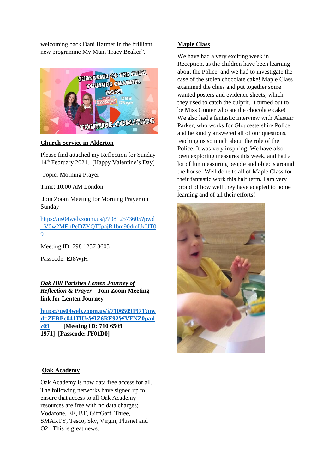welcoming back Dani Harmer in the brilliant new programme My Mum Tracy Beaker".



#### **Church Service in Alderton**

Please find attached my Reflection for Sunday 14th February 2021. [Happy Valentine's Day]

Topic: Morning Prayer

Time: 10:00 AM London

Join Zoom Meeting for Morning Prayer on Sunday

[https://us04web.zoom.us/j/79812573605?pwd](https://us04web.zoom.us/j/79812573605?pwd=V0w2MEhPcDZYQTJpajR1bm90dmUzUT09) [=V0w2MEhPcDZYQTJpajR1bm90dmUzUT0](https://us04web.zoom.us/j/79812573605?pwd=V0w2MEhPcDZYQTJpajR1bm90dmUzUT09) [9](https://us04web.zoom.us/j/79812573605?pwd=V0w2MEhPcDZYQTJpajR1bm90dmUzUT09)

Meeting ID: 798 1257 3605

Passcode: EJ8WjH

*Oak Hill Parishes Lenten Journey of Reflection & Prayer* **Join Zoom Meeting link for Lenten Journey**

**[https://us04web.zoom.us/j/71065091971?pw](https://us04web.zoom.us/j/71065091971?pwd=ZFRPc041TlUzWlZ6RE92WVFNZ0padz09) [d=ZFRPc041TlUzWlZ6RE92WVFNZ0pad](https://us04web.zoom.us/j/71065091971?pwd=ZFRPc041TlUzWlZ6RE92WVFNZ0padz09)**

**[z09](https://us04web.zoom.us/j/71065091971?pwd=ZFRPc041TlUzWlZ6RE92WVFNZ0padz09) [Meeting ID: 710 6509 1971] [Passcode: fY01D0]**

#### **Maple Class**

We have had a very exciting week in Reception, as the children have been learning about the Police, and we had to investigate the case of the stolen chocolate cake! Maple Class examined the clues and put together some wanted posters and evidence sheets, which they used to catch the culprit. It turned out to be Miss Gunter who ate the chocolate cake! We also had a fantastic interview with Alastair Parker, who works for Gloucestershire Police and he kindly answered all of our questions, teaching us so much about the role of the Police. It was very inspiring. We have also been exploring measures this week, and had a lot of fun measuring people and objects around the house! Well done to all of Maple Class for their fantastic work this half term. I am very proud of how well they have adapted to home learning and of all their efforts!



#### **Oak Academy**

Oak Academy is now data free access for all. The following networks have signed up to ensure that access to all Oak Academy resources are free with no data charges; Vodafone, EE, BT, GiffGaff, Three, SMARTY, Tesco, Sky, Virgin, Plusnet and O2. This is great news.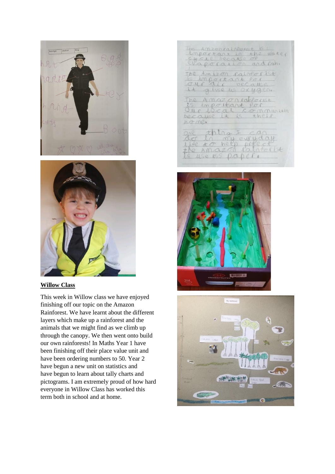



#### **Willow Class**

This week in Willow class we have enjoyed finishing off our topic on the Amazon Rainforest. We have learnt about the different layers which make up a rainforest and the animals that we might find as we climb up through the canopy. We then went onto build our own rainforests! In Maths Year 1 have been finishing off their place value unit and have been ordering numbers to 50. Year 2 have begun a new unit on statistics and have begun to learn about tally charts and pictograms. I am extremely proud of how hard everyone in Willow Class has worked this term both in school and at home.

be AmzerrainPerroit is Important in the water The Amison rainfort ist<br>is important for

The Amazoniaherist<br>Ss important for<br>Our focal community home.

|  | CLO MURCUILLANT           | $t$ $\Omega$ |  |
|--|---------------------------|--------------|--|
|  | Life <i>± o</i> here prec |              |  |
|  | the Amazon raintorist     |              |  |



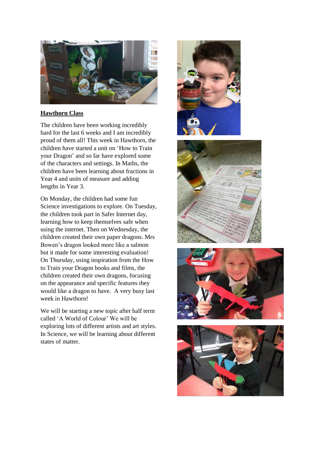

#### **Hawthorn Class**

The children have been working incredibly hard for the last 6 weeks and I am incredibly proud of them all! This week in Hawthorn, the children have started a unit on 'How to Train your Dragon' and so far have explored some of the characters and settings. In Maths, the children have been learning about fractions in Year 4 and units of measure and adding lengths in Year 3.

On Monday, the children had some fun Science investigations to explore. On Tuesday, the children took part in Safer Internet day, learning how to keep themselves safe when using the internet. Then on Wednesday, the children created their own paper dragons. Mrs Bowen's dragon looked more like a salmon but it made for some interesting evaluation! On Thursday, using inspiration from the How to Train your Dragon books and films, the children created their own dragons, focusing on the appearance and specific features they would like a dragon to have. A very busy last week in Hawthorn!

We will be starting a new topic after half term called 'A World of Colour' We will be exploring lots of different artists and art styles. In Science, we will be learning about different states of matter.







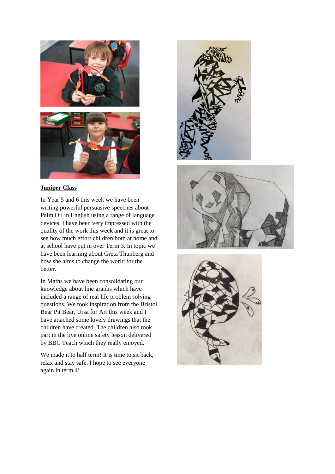



#### **Juniper Class**

In Year 5 and 6 this week we have been writing powerful persuasive speeches about Palm Oil in English using a range of language devices. I have been very impressed with the quality of the work this week and it is great to see how much effort children both at home and at school have put in over Term 3. In topic we have been learning about Greta Thunberg and how she aims to change the world for the better.

In Maths we have been consolidating our knowledge about line graphs which have included a range of real life problem solving questions. We took inspiration from the Bristol Bear Pit Bear, Ursa for Art this week and I have attached some lovely drawings that the children have created. The children also took part in the live online safety lesson delivered by BBC Teach which they really enjoyed.

We made it to half term! It is time to sit back, relax and stay safe. I hope to see everyone again in term 4!